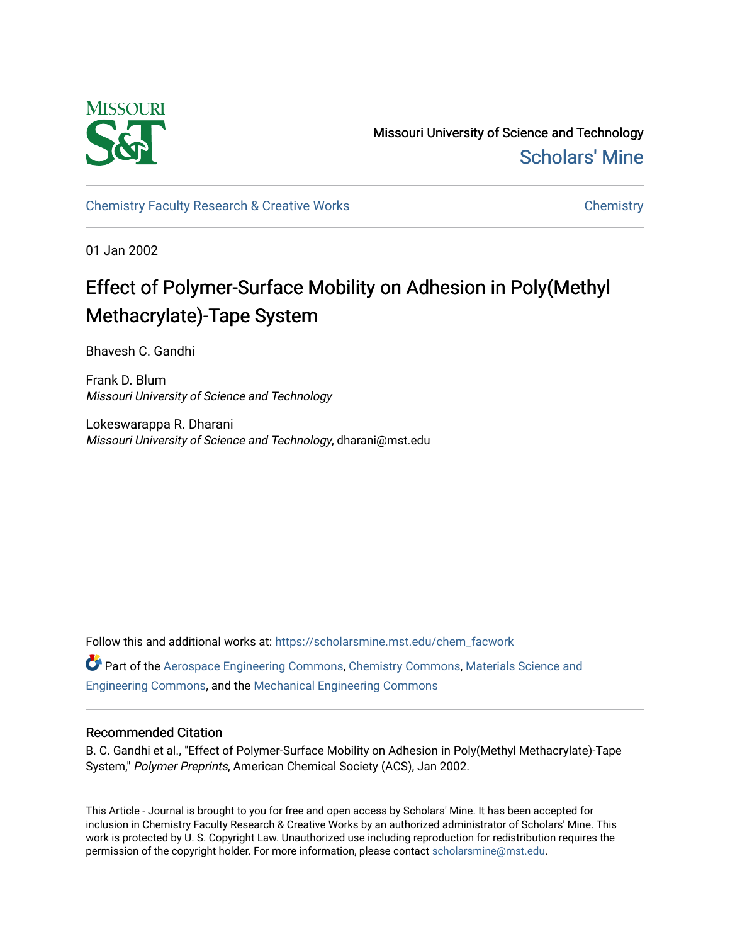

Missouri University of Science and Technology [Scholars' Mine](https://scholarsmine.mst.edu/) 

[Chemistry Faculty Research & Creative Works](https://scholarsmine.mst.edu/chem_facwork) [Chemistry](https://scholarsmine.mst.edu/chem) Chemistry

01 Jan 2002

# Effect of Polymer-Surface Mobility on Adhesion in Poly(Methyl Methacrylate)-Tape System

Bhavesh C. Gandhi

Frank D. Blum Missouri University of Science and Technology

Lokeswarappa R. Dharani Missouri University of Science and Technology, dharani@mst.edu

Follow this and additional works at: [https://scholarsmine.mst.edu/chem\\_facwork](https://scholarsmine.mst.edu/chem_facwork?utm_source=scholarsmine.mst.edu%2Fchem_facwork%2F2406&utm_medium=PDF&utm_campaign=PDFCoverPages)

Part of the [Aerospace Engineering Commons](http://network.bepress.com/hgg/discipline/218?utm_source=scholarsmine.mst.edu%2Fchem_facwork%2F2406&utm_medium=PDF&utm_campaign=PDFCoverPages), [Chemistry Commons](http://network.bepress.com/hgg/discipline/131?utm_source=scholarsmine.mst.edu%2Fchem_facwork%2F2406&utm_medium=PDF&utm_campaign=PDFCoverPages), [Materials Science and](http://network.bepress.com/hgg/discipline/285?utm_source=scholarsmine.mst.edu%2Fchem_facwork%2F2406&utm_medium=PDF&utm_campaign=PDFCoverPages)  [Engineering Commons,](http://network.bepress.com/hgg/discipline/285?utm_source=scholarsmine.mst.edu%2Fchem_facwork%2F2406&utm_medium=PDF&utm_campaign=PDFCoverPages) and the [Mechanical Engineering Commons](http://network.bepress.com/hgg/discipline/293?utm_source=scholarsmine.mst.edu%2Fchem_facwork%2F2406&utm_medium=PDF&utm_campaign=PDFCoverPages) 

# Recommended Citation

B. C. Gandhi et al., "Effect of Polymer-Surface Mobility on Adhesion in Poly(Methyl Methacrylate)-Tape System," Polymer Preprints, American Chemical Society (ACS), Jan 2002.

This Article - Journal is brought to you for free and open access by Scholars' Mine. It has been accepted for inclusion in Chemistry Faculty Research & Creative Works by an authorized administrator of Scholars' Mine. This work is protected by U. S. Copyright Law. Unauthorized use including reproduction for redistribution requires the permission of the copyright holder. For more information, please contact [scholarsmine@mst.edu](mailto:scholarsmine@mst.edu).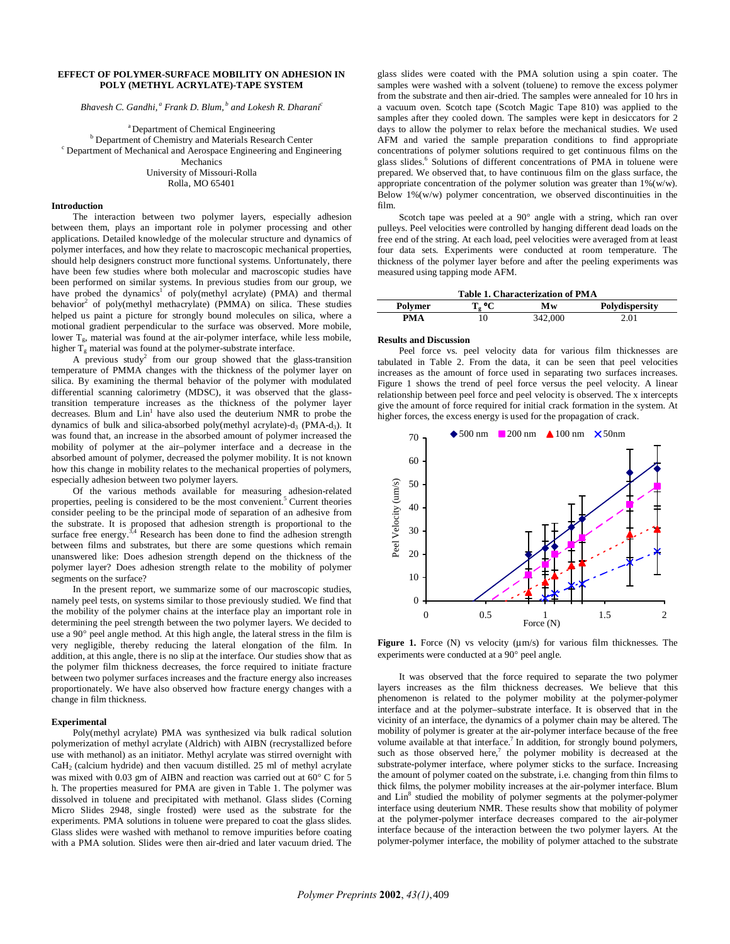# **EFFECT OF POLYMER-SURFACE MOBILITY ON ADHESION IN POLY (METHYL ACRYLATE)-TAPE SYSTEM**

*Bhavesh C. Gandhi,* <sup>*a</sup> Frank D. Blum,* <sup>*b</sup> and Lokesh R. Dharani<sup>c</sup>*</sup></sup>

<sup>a</sup> Department of Chemical Engineering<br><sup>b</sup> Department of Chemistry and Materials Bessex: <sup>b</sup> Department of Chemistry and Materials Research Center <sup>c</sup><br><sup>c</sup> Department of Machanical and Aerospee Engineering and Engi Department of Mechanical and Aerospace Engineering and Engineering Mechanics University of Missouri-Rolla Rolla, MO 65401

## **Introduction**

The interaction between two polymer layers, especially adhesion between them, plays an important role in polymer processing and other applications. Detailed knowledge of the molecular structure and dynamics of polymer interfaces, and how they relate to macroscopic mechanical properties, should help designers construct more functional systems. Unfortunately, there have been few studies where both molecular and macroscopic studies have been performed on similar systems. In previous studies from our group, we have probed the dynamics<sup>1</sup> of poly(methyl acrylate) (PMA) and thermal behavior<sup>2</sup> of poly(methyl methacrylate) (PMMA) on silica. These studies helped us paint a picture for strongly bound molecules on silica, where a motional gradient perpendicular to the surface was observed. More mobile, lower  $T_{g}$ , material was found at the air-polymer interface, while less mobile, higher  $T_g$  material was found at the polymer-substrate interface.

A previous study<sup>2</sup> from our group showed that the glass-transition temperature of PMMA changes with the thickness of the polymer layer on silica. By examining the thermal behavior of the polymer with modulated differential scanning calorimetry (MDSC), it was observed that the glasstransition temperature increases as the thickness of the polymer layer decreases. Blum and Lin<sup>1</sup> have also used the deuterium NMR to probe the dynamics of bulk and silica-absorbed poly(methyl acrylate)-d<sub>3</sub> (PMA-d<sub>3</sub>). It was found that, an increase in the absorbed amount of polymer increased the mobility of polymer at the air–polymer interface and a decrease in the absorbed amount of polymer, decreased the polymer mobility. It is not known how this change in mobility relates to the mechanical properties of polymers, especially adhesion between two polymer layers.

Of the various methods available for measuring adhesion-related properties, peeling is considered to be the most convenient.<sup>5</sup> Current theories consider peeling to be the principal mode of separation of an adhesive from the substrate. It is proposed that adhesion strength is proportional to the surface free energy.<sup>3,4</sup> Research has been done to find the adhesion strength between films and substrates, but there are some questions which remain unanswered like: Does adhesion strength depend on the thickness of the polymer layer? Does adhesion strength relate to the mobility of polymer segments on the surface?

 In the present report, we summarize some of our macroscopic studies, namely peel tests, on systems similar to those previously studied. We find that the mobility of the polymer chains at the interface play an important role in determining the peel strength between the two polymer layers. We decided to use a 90° peel angle method. At this high angle, the lateral stress in the film is very negligible, thereby reducing the lateral elongation of the film. In addition, at this angle, there is no slip at the interface. Our studies show that as the polymer film thickness decreases, the force required to initiate fracture between two polymer surfaces increases and the fracture energy also increases proportionately. We have also observed how fracture energy changes with a change in film thickness.

#### **Experimental**

 Poly(methyl acrylate) PMA was synthesized via bulk radical solution polymerization of methyl acrylate (Aldrich) with AIBN (recrystallized before use with methanol) as an initiator. Methyl acrylate was stirred overnight with  $CaH<sub>2</sub>$  (calcium hydride) and then vacuum distilled. 25 ml of methyl acrylate was mixed with 0.03 gm of AIBN and reaction was carried out at 60° C for 5 h. The properties measured for PMA are given in Table 1. The polymer was dissolved in toluene and precipitated with methanol. Glass slides (Corning Micro Slides 2948, single frosted) were used as the substrate for the experiments. PMA solutions in toluene were prepared to coat the glass slides. Glass slides were washed with methanol to remove impurities before coating with a PMA solution. Slides were then air-dried and later vacuum dried. The

glass slides were coated with the PMA solution using a spin coater. The samples were washed with a solvent (toluene) to remove the excess polymer from the substrate and then air-dried. The samples were annealed for 10 hrs in a vacuum oven. Scotch tape (Scotch Magic Tape 810) was applied to the samples after they cooled down. The samples were kept in desiccators for 2 days to allow the polymer to relax before the mechanical studies. We used AFM and varied the sample preparation conditions to find appropriate concentrations of polymer solutions required to get continuous films on the glass slides.<sup>6</sup> Solutions of different concentrations of PMA in toluene were prepared. We observed that, to have continuous film on the glass surface, the appropriate concentration of the polymer solution was greater than  $1\%$  (w/w). Below  $1\%$ (w/w) polymer concentration, we observed discontinuities in the film.

Scotch tape was peeled at a 90° angle with a string, which ran over pulleys. Peel velocities were controlled by hanging different dead loads on the free end of the string. At each load, peel velocities were averaged from at least four data sets. Experiments were conducted at room temperature. The thickness of the polymer layer before and after the peeling experiments was measured using tapping mode AFM.

| <b>Table 1. Characterization of PMA</b> |       |         |                |  |  |  |
|-----------------------------------------|-------|---------|----------------|--|--|--|
| Polymer                                 | T. °C | Mw      | Polydispersity |  |  |  |
| PMA                                     | 10    | 342,000 | 2.01           |  |  |  |

# **Results and Discussion**

Peel force vs. peel velocity data for various film thicknesses are tabulated in Table 2. From the data, it can be seen that peel velocities increases as the amount of force used in separating two surfaces increases. Figure 1 shows the trend of peel force versus the peel velocity. A linear relationship between peel force and peel velocity is observed. The x intercepts give the amount of force required for initial crack formation in the system. At higher forces, the excess energy is used for the propagation of crack.



**Figure 1.** Force  $(N)$  vs velocity  $(\mu m/s)$  for various film thicknesses. The experiments were conducted at a 90° peel angle.

It was observed that the force required to separate the two polymer layers increases as the film thickness decreases. We believe that this phenomenon is related to the polymer mobility at the polymer-polymer interface and at the polymer–substrate interface. It is observed that in the vicinity of an interface, the dynamics of a polymer chain may be altered. The mobility of polymer is greater at the air-polymer interface because of the free volume available at that interface.<sup>7</sup> In addition, for strongly bound polymers, such as those observed here,<sup>7</sup> the polymer mobility is decreased at the substrate-polymer interface, where polymer sticks to the surface. Increasing the amount of polymer coated on the substrate, i.e. changing from thin films to thick films, the polymer mobility increases at the air-polymer interface. Blum and Lin<sup>8</sup> studied the mobility of polymer segments at the polymer-polymer interface using deuterium NMR. These results show that mobility of polymer at the polymer-polymer interface decreases compared to the air-polymer interface because of the interaction between the two polymer layers. At the polymer-polymer interface, the mobility of polymer attached to the substrate